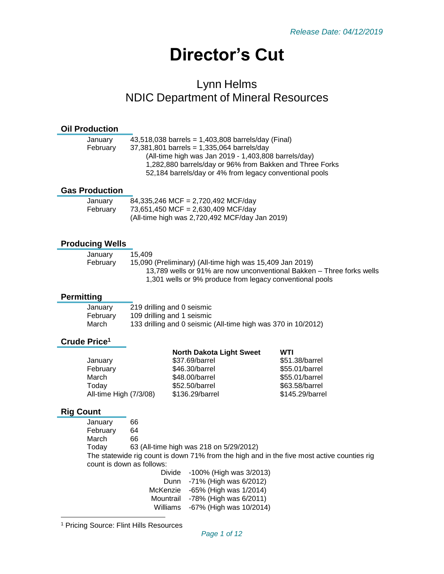# **Director's Cut**

# Lynn Helms NDIC Department of Mineral Resources

### **Oil Production**

| January  | 43,518,038 barrels = $1,403,808$ barrels/day (Final)     |
|----------|----------------------------------------------------------|
| February | $37,381,801$ barrels = 1,335,064 barrels/day             |
|          | (All-time high was Jan 2019 - 1,403,808 barrels/day)     |
|          | 1,282,880 barrels/day or 96% from Bakken and Three Forks |
|          | 52,184 barrels/day or 4% from legacy conventional pools  |
|          |                                                          |

#### **Gas Production**

| January  | 84,335,246 MCF = 2,720,492 MCF/day             |
|----------|------------------------------------------------|
| February | 73,651,450 MCF = 2,630,409 MCF/day             |
|          | (All-time high was 2,720,492 MCF/day Jan 2019) |

#### **Producing Wells**

| January  | 15.409                                                                |
|----------|-----------------------------------------------------------------------|
| February | 15,090 (Preliminary) (All-time high was 15,409 Jan 2019)              |
|          | 13,789 wells or 91% are now unconventional Bakken – Three forks wells |
|          | 1,301 wells or 9% produce from legacy conventional pools              |

# **Permitting**

| January  | 219 drilling and 0 seismic                                    |
|----------|---------------------------------------------------------------|
| February | 109 drilling and 1 seismic                                    |
| March    | 133 drilling and 0 seismic (All-time high was 370 in 10/2012) |

# **Crude Price<sup>1</sup>**

|                        | <b>North Dakota Light Sweet</b> | WTI             |
|------------------------|---------------------------------|-----------------|
| January                | \$37.69/barrel                  | \$51.38/barrel  |
| February               | \$46.30/barrel                  | \$55.01/barrel  |
| March                  | \$48.00/barrel                  | \$55.01/barrel  |
| Today                  | \$52.50/barrel                  | \$63.58/barrel  |
| All-time High (7/3/08) | \$136.29/barrel                 | \$145.29/barrel |
|                        |                                 |                 |

# **Rig Count**

l

January 66 February 64 March 66 Today 63 (All-time high was 218 on 5/29/2012) The statewide rig count is down 71% from the high and in the five most active counties rig count is down as follows: Divide -100% (High was 3/2013) Dunn -71% (High was 6/2012)

McKenzie -65% (High was 1/2014) Mountrail -78% (High was 6/2011) Williams -67% (High was 10/2014)

<sup>1</sup> Pricing Source: Flint Hills Resources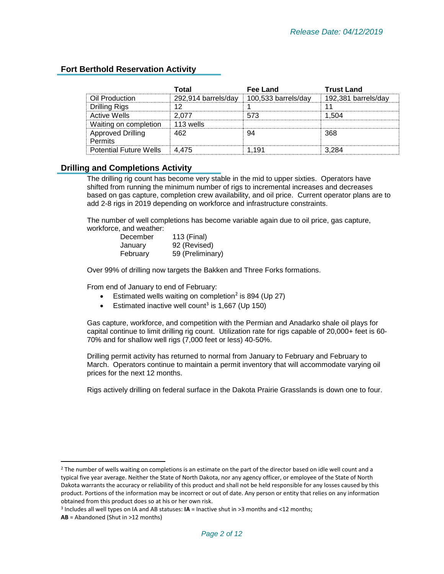# **Fort Berthold Reservation Activity**

|                                     | Total               | Fee Land            | <b>Trust Land</b>   |
|-------------------------------------|---------------------|---------------------|---------------------|
| Oil Production                      | 292,914 barrels/day | 100,533 barrels/day | 192,381 barrels/day |
| <b>Drilling Rigs</b>                | 12                  |                     |                     |
| Active Wells                        | 2 077               | 573                 | 1.504               |
| Waiting on completion               | 113 wells           |                     |                     |
| <b>Approved Drilling</b><br>Permits | 462                 |                     | 368                 |
| <b>Potential Future Wells</b>       | 4.475               | . 191               |                     |

#### **Drilling and Completions Activity**

The drilling rig count has become very stable in the mid to upper sixties. Operators have shifted from running the minimum number of rigs to incremental increases and decreases based on gas capture, completion crew availability, and oil price. Current operator plans are to add 2-8 rigs in 2019 depending on workforce and infrastructure constraints.

The number of well completions has become variable again due to oil price, gas capture, workforce, and weather:

| December | 113 (Final)      |
|----------|------------------|
| January  | 92 (Revised)     |
| February | 59 (Preliminary) |

Over 99% of drilling now targets the Bakken and Three Forks formations.

From end of January to end of February:

- Estimated wells waiting on completion<sup>2</sup> is 894 (Up 27)
- Estimated inactive well count<sup>3</sup> is 1,667 (Up 150)

Gas capture, workforce, and competition with the Permian and Anadarko shale oil plays for capital continue to limit drilling rig count. Utilization rate for rigs capable of 20,000+ feet is 60- 70% and for shallow well rigs (7,000 feet or less) 40-50%.

Drilling permit activity has returned to normal from January to February and February to March. Operators continue to maintain a permit inventory that will accommodate varying oil prices for the next 12 months.

Rigs actively drilling on federal surface in the Dakota Prairie Grasslands is down one to four.

 $\overline{\phantom{a}}$ 

 $2$  The number of wells waiting on completions is an estimate on the part of the director based on idle well count and a typical five year average. Neither the State of North Dakota, nor any agency officer, or employee of the State of North Dakota warrants the accuracy or reliability of this product and shall not be held responsible for any losses caused by this product. Portions of the information may be incorrect or out of date. Any person or entity that relies on any information obtained from this product does so at his or her own risk.

<sup>3</sup> Includes all well types on IA and AB statuses: **IA** = Inactive shut in >3 months and <12 months;

**AB** = Abandoned (Shut in >12 months)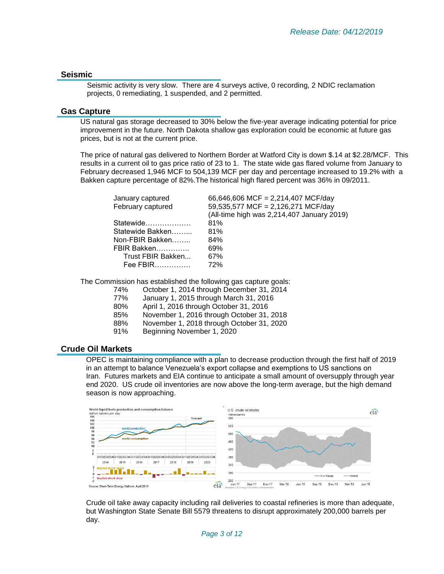#### **Seismic**

Seismic activity is very slow. There are 4 surveys active, 0 recording, 2 NDIC reclamation projects, 0 remediating, 1 suspended, and 2 permitted.

#### **Gas Capture**

US natural gas storage decreased to 30% below the five-year average indicating potential for price improvement in the future. North Dakota shallow gas exploration could be economic at future gas prices, but is not at the current price.

The price of natural gas delivered to Northern Border at Watford City is down \$.14 at \$2.28/MCF. This results in a current oil to gas price ratio of 23 to 1. The state wide gas flared volume from January to February decreased 1,946 MCF to 504,139 MCF per day and percentage increased to 19.2% with a Bakken capture percentage of 82%.The historical high flared percent was 36% in 09/2011.

| January captured  | 66,646,606 MCF = 2,214,407 MCF/day         |
|-------------------|--------------------------------------------|
| February captured | 59,535,577 MCF = 2,126,271 MCF/day         |
|                   | (All-time high was 2,214,407 January 2019) |
| Statewide         | 81%                                        |
| Statewide Bakken  | 81%                                        |
| Non-FBIR Bakken   | 84%                                        |
| FBIR Bakken       | 69%                                        |
| Trust FBIR Bakken | 67%                                        |
| $Fee$ FBIR        | 72%                                        |
|                   |                                            |

The Commission has established the following gas capture goals:

- 74% October 1, 2014 through December 31, 2014
- 77% January 1, 2015 through March 31, 2016
- 80% April 1, 2016 through October 31, 2016
- 85% November 1, 2016 through October 31, 2018
- 88% November 1, 2018 through October 31, 2020
- 91% Beginning November 1, 2020

#### **Crude Oil Markets**

OPEC is maintaining compliance with a plan to decrease production through the first half of 2019 in an attempt to balance Venezuela's export collapse and exemptions to US sanctions on Iran. Futures markets and EIA continue to anticipate a small amount of oversupply through year end 2020. US crude oil inventories are now above the long-term average, but the high demand season is now approaching.



Crude oil take away capacity including rail deliveries to coastal refineries is more than adequate, but Washington State Senate Bill 5579 threatens to disrupt approximately 200,000 barrels per day.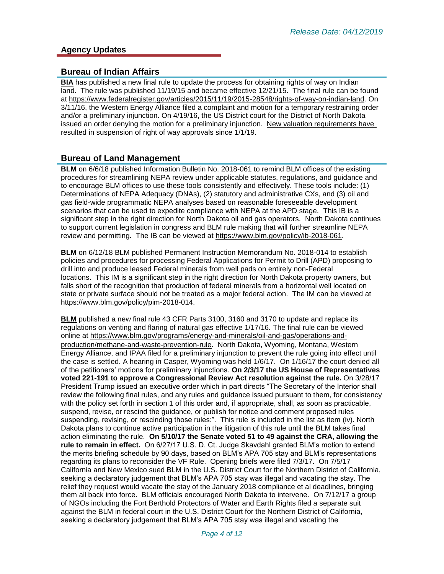# **Agency Updates**

### **Bureau of Indian Affairs**

**BIA** has published a new final rule to update the process for obtaining rights of way on Indian land. The rule was published 11/19/15 and became effective 12/21/15. The final rule can be found at [https://www.federalregister.gov/articles/2015/11/19/2015-28548/rights-of-way-on-indian-land.](https://www.federalregister.gov/articles/2015/11/19/2015-28548/rights-of-way-on-indian-land) On 3/11/16, the Western Energy Alliance filed a complaint and motion for a temporary restraining order and/or a preliminary injunction. On 4/19/16, the US District court for the District of North Dakota issued an order denying the motion for a preliminary injunction. New valuation requirements have resulted in suspension of right of way approvals since 1/1/19.

#### **Bureau of Land Management**

**BLM** on 6/6/18 published Information Bulletin No. 2018-061 to remind BLM offices of the existing procedures for streamlining NEPA review under applicable statutes, regulations, and guidance and to encourage BLM offices to use these tools consistently and effectively. These tools include: (1) Determinations of NEPA Adequacy (DNAs), (2) statutory and administrative CXs, and (3) oil and gas field-wide programmatic NEPA analyses based on reasonable foreseeable development scenarios that can be used to expedite compliance with NEPA at the APD stage. This IB is a significant step in the right direction for North Dakota oil and gas operators. North Dakota continues to support current legislation in congress and BLM rule making that will further streamline NEPA review and permitting. The IB can be viewed at [https://www.blm.gov/policy/ib-2018-061.](https://www.blm.gov/policy/ib-2018-061)

**BLM** on 6/12/18 BLM published Permanent Instruction Memorandum No. 2018-014 to establish policies and procedures for processing Federal Applications for Permit to Drill (APD) proposing to drill into and produce leased Federal minerals from well pads on entirely non-Federal locations. This IM is a significant step in the right direction for North Dakota property owners, but falls short of the recognition that production of federal minerals from a horizontal well located on state or private surface should not be treated as a major federal action. The IM can be viewed at [https://www.blm.gov/policy/pim-2018-014.](https://www.blm.gov/policy/pim-2018-014)

**BLM** published a new final rule 43 CFR Parts 3100, 3160 and 3170 to update and replace its regulations on venting and flaring of natural gas effective 1/17/16. The final rule can be viewed online at [https://www.blm.gov/programs/energy-and-minerals/oil-and-gas/operations-and](https://www.blm.gov/programs/energy-and-minerals/oil-and-gas/operations-and-production/methane-and-waste-prevention-rule)[production/methane-and-waste-prevention-rule](https://www.blm.gov/programs/energy-and-minerals/oil-and-gas/operations-and-production/methane-and-waste-prevention-rule). North Dakota, Wyoming, Montana, Western Energy Alliance, and IPAA filed for a preliminary injunction to prevent the rule going into effect until the case is settled. A hearing in Casper, Wyoming was held 1/6/17. On 1/16/17 the court denied all of the petitioners' motions for preliminary injunctions. **On 2/3/17 the US House of Representatives voted 221-191 to approve a Congressional Review Act resolution against the rule.** On 3/28/17 President Trump issued an executive order which in part directs "The Secretary of the Interior shall review the following final rules, and any rules and guidance issued pursuant to them, for consistency with the policy set forth in section 1 of this order and, if appropriate, shall, as soon as practicable, suspend, revise, or rescind the guidance, or publish for notice and comment proposed rules suspending, revising, or rescinding those rules:". This rule is included in the list as item (iv). North Dakota plans to continue active participation in the litigation of this rule until the BLM takes final action eliminating the rule. **On 5/10/17 the Senate voted 51 to 49 against the CRA, allowing the rule to remain in effect.** On 6/27/17 U.S. D. Ct. Judge Skavdahl granted BLM's motion to extend the merits briefing schedule by 90 days, based on BLM's APA 705 stay and BLM's representations regarding its plans to reconsider the VF Rule. Opening briefs were filed 7/3/17. On 7/5/17 California and New Mexico sued BLM in the U.S. District Court for the Northern District of California, seeking a declaratory judgement that BLM's APA 705 stay was illegal and vacating the stay. The relief they request would vacate the stay of the January 2018 compliance et al deadlines, bringing them all back into force. BLM officials encouraged North Dakota to intervene. On 7/12/17 a group of NGOs including the Fort Berthold Protectors of Water and Earth Rights filed a separate suit against the BLM in federal court in the U.S. District Court for the Northern District of California, seeking a declaratory judgement that BLM's APA 705 stay was illegal and vacating the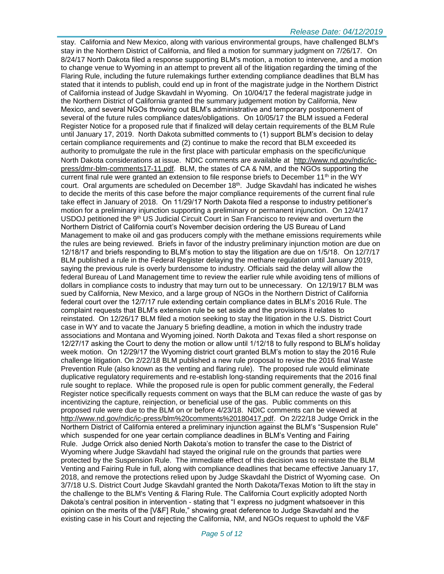#### *Release Date: 04/12/2019*

stay. California and New Mexico, along with various environmental groups, have challenged BLM's stay in the Northern District of California, and filed a motion for summary judgment on 7/26/17. On 8/24/17 North Dakota filed a response supporting BLM's motion, a motion to intervene, and a motion to change venue to Wyoming in an attempt to prevent all of the litigation regarding the timing of the Flaring Rule, including the future rulemakings further extending compliance deadlines that BLM has stated that it intends to publish, could end up in front of the magistrate judge in the Northern District of California instead of Judge Skavdahl in Wyoming. On 10/04/17 the federal magistrate judge in the Northern District of California granted the summary judgement motion by California, New Mexico, and several NGOs throwing out BLM's administrative and temporary postponement of several of the future rules compliance dates/obligations. On 10/05/17 the BLM issued a Federal Register Notice for a proposed rule that if finalized will delay certain requirements of the BLM Rule until January 17, 2019. North Dakota submitted comments to (1) support BLM's decision to delay certain compliance requirements and (2) continue to make the record that BLM exceeded its authority to promulgate the rule in the first place with particular emphasis on the specific/unique North Dakota considerations at issue. NDIC comments are available at [http://www.nd.gov/ndic/ic](http://www.nd.gov/ndic/ic-press/dmr-blm-comments17-11.pdf)[press/dmr-blm-comments17-11.pdf.](http://www.nd.gov/ndic/ic-press/dmr-blm-comments17-11.pdf) BLM, the states of CA & NM, and the NGOs supporting the current final rule were granted an extension to file response briefs to December  $11<sup>th</sup>$  in the WY court. Oral arguments are scheduled on December 18th . Judge Skavdahl has indicated he wishes to decide the merits of this case before the major compliance requirements of the current final rule take effect in January of 2018. On 11/29/17 North Dakota filed a response to industry petitioner's motion for a preliminary injunction supporting a preliminary or permanent injunction. On 12/4/17 USDOJ petitioned the 9<sup>th</sup> US Judicial Circuit Court in San Francisco to review and overturn the Northern District of California court's November decision ordering the US Bureau of Land Management to make oil and gas producers comply with the methane emissions requirements while the rules are being reviewed. Briefs in favor of the industry preliminary injunction motion are due on 12/18/17 and briefs responding to BLM's motion to stay the litigation are due on 1/5/18. On 12/7/17 BLM published a rule in the Federal Register delaying the methane regulation until January 2019, saying the previous rule is overly burdensome to industry. Officials said the delay will allow the federal Bureau of Land Management time to review the earlier rule while avoiding tens of millions of dollars in compliance costs to industry that may turn out to be unnecessary. On 12/19/17 BLM was sued by California, New Mexico, and a large group of NGOs in the Northern District of California federal court over the 12/7/17 rule extending certain compliance dates in BLM's 2016 Rule. The complaint requests that BLM's extension rule be set aside and the provisions it relates to reinstated. On 12/26/17 BLM filed a motion seeking to stay the litigation in the U.S. District Court case in WY and to vacate the January 5 briefing deadline, a motion in which the industry trade associations and Montana and Wyoming joined. North Dakota and Texas filed a short response on 12/27/17 asking the Court to deny the motion or allow until 1/12/18 to fully respond to BLM's holiday week motion. On 12/29/17 the Wyoming district court granted BLM's motion to stay the 2016 Rule challenge litigation. On 2/22/18 BLM published a new rule proposal to revise the 2016 final Waste Prevention Rule (also known as the venting and flaring rule). The proposed rule would eliminate duplicative regulatory requirements and re-establish long-standing requirements that the 2016 final rule sought to replace. While the proposed rule is open for public comment generally, the Federal Register notice specifically requests comment on ways that the BLM can reduce the waste of gas by incentivizing the capture, reinjection, or beneficial use of the gas. Public comments on this proposed rule were due to the BLM on or before 4/23/18. NDIC comments can be viewed at [http://www.nd.gov/ndic/ic-press/blm%20comments%20180417.pdf.](http://www.nd.gov/ndic/ic-press/blm%20comments%20180417.pdf) On 2/22/18 Judge Orrick in the Northern District of California entered a preliminary injunction against the BLM's "Suspension Rule" which suspended for one year certain compliance deadlines in BLM's Venting and Fairing Rule. Judge Orrick also denied North Dakota's motion to transfer the case to the District of Wyoming where Judge Skavdahl had stayed the original rule on the grounds that parties were protected by the Suspension Rule. The immediate effect of this decision was to reinstate the BLM Venting and Fairing Rule in full, along with compliance deadlines that became effective January 17, 2018, and remove the protections relied upon by Judge Skavdahl the District of Wyoming case. On 3/7/18 U.S. District Court Judge Skavdahl granted the North Dakota/Texas Motion to lift the stay in the challenge to the BLM's Venting & Flaring Rule. The California Court explicitly adopted North Dakota's central position in intervention - stating that "I express no judgment whatsoever in this opinion on the merits of the [V&F] Rule," showing great deference to Judge Skavdahl and the existing case in his Court and rejecting the California, NM, and NGOs request to uphold the V&F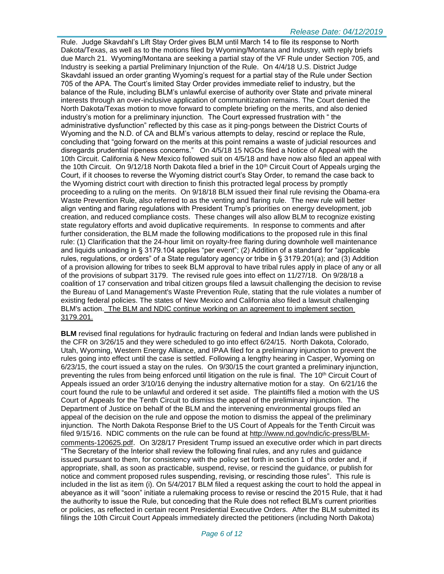Rule. Judge Skavdahl's Lift Stay Order gives BLM until March 14 to file its response to North Dakota/Texas, as well as to the motions filed by Wyoming/Montana and Industry, with reply briefs due March 21. Wyoming/Montana are seeking a partial stay of the VF Rule under Section 705, and Industry is seeking a partial Preliminary Injunction of the Rule. On 4/4/18 U.S. District Judge Skavdahl issued an order granting Wyoming's request for a partial stay of the Rule under Section 705 of the APA. The Court's limited Stay Order provides immediate relief to industry, but the balance of the Rule, including BLM's unlawful exercise of authority over State and private mineral interests through an over-inclusive application of communitization remains. The Court denied the North Dakota/Texas motion to move forward to complete briefing on the merits, and also denied industry's motion for a preliminary injunction. The Court expressed frustration with " the administrative dysfunction" reflected by this case as it ping-pongs between the District Courts of Wyoming and the N.D. of CA and BLM's various attempts to delay, rescind or replace the Rule, concluding that "going forward on the merits at this point remains a waste of judicial resources and disregards prudential ripeness concerns." On 4/5/18 15 NGOs filed a Notice of Appeal with the 10th Circuit. California & New Mexico followed suit on 4/5/18 and have now also filed an appeal with the 10th Circuit. On 9/12/18 North Dakota filed a brief in the 10<sup>th</sup> Circuit Court of Appeals urging the Court, if it chooses to reverse the Wyoming district court's Stay Order, to remand the case back to the Wyoming district court with direction to finish this protracted legal process by promptly proceeding to a ruling on the merits. On 9/18/18 BLM issued their final rule revising the Obama-era Waste Prevention Rule, also referred to as the venting and flaring rule. The new rule will better align venting and flaring regulations with President Trump's priorities on energy development, job creation, and reduced compliance costs. These changes will also allow BLM to recognize existing state regulatory efforts and avoid duplicative requirements. In response to comments and after further consideration, the BLM made the following modifications to the proposed rule in this final rule: (1) Clarification that the 24-hour limit on royalty-free flaring during downhole well maintenance and liquids unloading in § 3179.104 applies "per event"; (2) Addition of a standard for "applicable rules, regulations, or orders" of a State regulatory agency or tribe in § 3179.201(a); and (3) Addition of a provision allowing for tribes to seek BLM approval to have tribal rules apply in place of any or all of the provisions of subpart 3179. The revised rule goes into effect on 11/27/18. On 9/28/18 a coalition of 17 conservation and tribal citizen groups filed a lawsuit challenging the decision to revise the Bureau of Land Management's Waste Prevention Rule, stating that the rule violates a number of existing federal policies. The states of New Mexico and California also filed a lawsuit challenging BLM's action. The BLM and NDIC continue working on an agreement to implement section 3179.201.

**BLM** revised final regulations for hydraulic fracturing on federal and Indian lands were published in the CFR on 3/26/15 and they were scheduled to go into effect 6/24/15. North Dakota, Colorado, Utah, Wyoming, Western Energy Alliance, and IPAA filed for a preliminary injunction to prevent the rules going into effect until the case is settled. Following a lengthy hearing in Casper, Wyoming on 6/23/15, the court issued a stay on the rules. On 9/30/15 the court granted a preliminary injunction, preventing the rules from being enforced until litigation on the rule is final. The 10<sup>th</sup> Circuit Court of Appeals issued an order 3/10/16 denying the industry alternative motion for a stay. On 6/21/16 the court found the rule to be unlawful and ordered it set aside. The plaintiffs filed a motion with the US Court of Appeals for the Tenth Circuit to dismiss the appeal of the preliminary injunction. The Department of Justice on behalf of the BLM and the intervening environmental groups filed an appeal of the decision on the rule and oppose the motion to dismiss the appeal of the preliminary injunction. The North Dakota Response Brief to the US Court of Appeals for the Tenth Circuit was filed 9/15/16. NDIC comments on the rule can be found at [http://www.nd.gov/ndic/ic-press/BLM](http://www.nd.gov/ndic/ic-press/BLM-comments-120625.pdf)[comments-120625.pdf](http://www.nd.gov/ndic/ic-press/BLM-comments-120625.pdf). On 3/28/17 President Trump issued an executive order which in part directs "The Secretary of the Interior shall review the following final rules, and any rules and guidance issued pursuant to them, for consistency with the policy set forth in section 1 of this order and, if appropriate, shall, as soon as practicable, suspend, revise, or rescind the guidance, or publish for notice and comment proposed rules suspending, revising, or rescinding those rules". This rule is included in the list as item (i). On 5/4/2017 BLM filed a request asking the court to hold the appeal in abeyance as it will "soon" initiate a rulemaking process to revise or rescind the 2015 Rule, that it had the authority to issue the Rule, but conceding that the Rule does not reflect BLM's current priorities or policies, as reflected in certain recent Presidential Executive Orders. After the BLM submitted its filings the 10th Circuit Court Appeals immediately directed the petitioners (including North Dakota)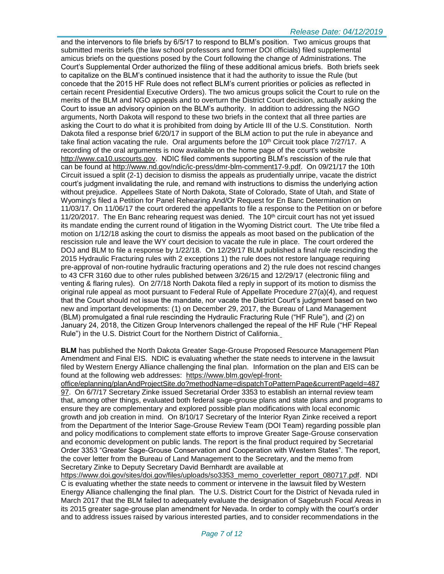#### *Release Date: 04/12/2019*

and the intervenors to file briefs by 6/5/17 to respond to BLM's position. Two amicus groups that submitted merits briefs (the law school professors and former DOI officials) filed supplemental amicus briefs on the questions posed by the Court following the change of Administrations. The Court's Supplemental Order authorized the filing of these additional amicus briefs. Both briefs seek to capitalize on the BLM's continued insistence that it had the authority to issue the Rule (but concede that the 2015 HF Rule does not reflect BLM's current priorities or policies as reflected in certain recent Presidential Executive Orders). The two amicus groups solicit the Court to rule on the merits of the BLM and NGO appeals and to overturn the District Court decision, actually asking the Court to issue an advisory opinion on the BLM's authority. In addition to addressing the NGO arguments, North Dakota will respond to these two briefs in the context that all three parties are asking the Court to do what it is prohibited from doing by Article III of the U.S. Constitution. North Dakota filed a response brief 6/20/17 in support of the BLM action to put the rule in abeyance and take final action vacating the rule. Oral arguments before the  $10<sup>th</sup>$  Circuit took place  $7/27/17$ . A recording of the oral arguments is now available on the home page of the court's website [http://www.ca10.uscourts.gov.](https://urldefense.proofpoint.com/v2/url?u=http-3A__www.ca10.uscourts.gov&d=DwMGaQ&c=2s2mvbfY0UoSKkl6_Ol9wg&r=-wqsZnBxny594KY8HeElow&m=Ul_VtJUX6iW5pvHjCcBxUWtskC0F4Dhry3sPtcEHvCw&s=laRHiLDv5w8otcQWQjpn82WMieoB2AZ-Q4M1LFQPL5s&e=) NDIC filed comments supporting BLM's rescission of the rule that can be found at [http://www.nd.gov/ndic/ic-press/dmr-blm-comment17-9.pdf.](http://www.nd.gov/ndic/ic-press/dmr-blm-comment17-9.pdf) On 09/21/17 the 10th Circuit issued a split (2-1) decision to dismiss the appeals as prudentially unripe, vacate the district court's judgment invalidating the rule, and remand with instructions to dismiss the underlying action without prejudice. Appellees State of North Dakota, State of Colorado, State of Utah, and State of Wyoming's filed a Petition for Panel Rehearing And/Or Request for En Banc Determination on 11/03/17. On 11/06/17 the court ordered the appellants to file a response to the Petition on or before 11/20/2017. The En Banc rehearing request was denied. The  $10<sup>th</sup>$  circuit court has not yet issued its mandate ending the current round of litigation in the Wyoming District court. The Ute tribe filed a motion on 1/12/18 asking the court to dismiss the appeals as moot based on the publication of the rescission rule and leave the WY court decision to vacate the rule in place. The court ordered the DOJ and BLM to file a response by 1/22/18. On 12/29/17 BLM published a final rule rescinding the 2015 Hydraulic Fracturing rules with 2 exceptions 1) the rule does not restore language requiring pre-approval of non-routine hydraulic fracturing operations and 2) the rule does not rescind changes to 43 CFR 3160 due to other rules published between 3/26/15 and 12/29/17 (electronic filing and venting & flaring rules). On 2/7/18 North Dakota filed a reply in support of its motion to dismiss the original rule appeal as moot pursuant to Federal Rule of Appellate Procedure 27(a)(4), and request that the Court should not issue the mandate, nor vacate the District Court's judgment based on two new and important developments: (1) on December 29, 2017, the Bureau of Land Management (BLM) promulgated a final rule rescinding the Hydraulic Fracturing Rule ("HF Rule"), and (2) on January 24, 2018, the Citizen Group Intervenors challenged the repeal of the HF Rule ("HF Repeal Rule") in the U.S. District Court for the Northern District of California.

**BLM** has published the North Dakota Greater Sage-Grouse Proposed Resource Management Plan Amendment and Final EIS. NDIC is evaluating whether the state needs to intervene in the lawsuit filed by Western Energy Alliance challenging the final plan. Information on the plan and EIS can be found at the following web addresses: [https://www.blm.gov/epl-front-](https://www.blm.gov/epl-front-office/eplanning/planAndProjectSite.do?methodName=dispatchToPatternPage¤tPageId=48797)

[office/eplanning/planAndProjectSite.do?methodName=dispatchToPatternPage&currentPageId=487](https://www.blm.gov/epl-front-office/eplanning/planAndProjectSite.do?methodName=dispatchToPatternPage¤tPageId=48797) [97.](https://www.blm.gov/epl-front-office/eplanning/planAndProjectSite.do?methodName=dispatchToPatternPage¤tPageId=48797) On 6/7/17 Secretary Zinke issued Secretarial Order 3353 to establish an internal review team that, among other things, evaluated both federal sage-grouse plans and state plans and programs to ensure they are complementary and explored possible plan modifications with local economic growth and job creation in mind. On 8/10/17 Secretary of the Interior Ryan Zinke received a report from the Department of the Interior Sage-Grouse Review Team (DOI Team) regarding possible plan and policy modifications to complement state efforts to improve Greater Sage-Grouse conservation and economic development on public lands. The report is the final product required by Secretarial Order 3353 "Greater Sage-Grouse Conservation and Cooperation with Western States". The report, the cover letter from the Bureau of Land Management to the Secretary, and the memo from Secretary Zinke to Deputy Secretary David Bernhardt are available at

[https://www.doi.gov/sites/doi.gov/files/uploads/so3353\\_memo\\_coverletter\\_report\\_080717.pdf.](https://www.doi.gov/sites/doi.gov/files/uploads/so3353_memo_coverletter_report_080717.pdf) NDI C is evaluating whether the state needs to comment or intervene in the lawsuit filed by Western Energy Alliance challenging the final plan. The U.S. District Court for the District of Nevada ruled in March 2017 that the BLM failed to adequately evaluate the designation of Sagebrush Focal Areas in its 2015 greater sage-grouse plan amendment for Nevada. In order to comply with the court's order and to address issues raised by various interested parties, and to consider recommendations in the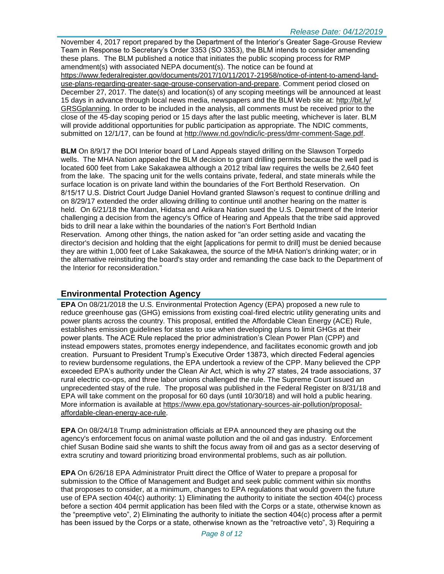November 4, 2017 report prepared by the Department of the Interior's Greater Sage-Grouse Review Team in Response to Secretary's Order 3353 (SO 3353), the BLM intends to consider amending these plans. The BLM published a notice that initiates the public scoping process for RMP amendment(s) with associated NEPA document(s). The notice can be found at [https://www.federalregister.gov/documents/2017/10/11/2017-21958/notice-of-intent-to-amend-land](https://www.federalregister.gov/documents/2017/10/11/2017-21958/notice-of-intent-to-amend-land-use-plans-regarding-greater-sage-grouse-conservation-and-prepare)[use-plans-regarding-greater-sage-grouse-conservation-and-prepare.](https://www.federalregister.gov/documents/2017/10/11/2017-21958/notice-of-intent-to-amend-land-use-plans-regarding-greater-sage-grouse-conservation-and-prepare) Comment period closed on December 27, 2017. The date(s) and location(s) of any scoping meetings will be announced at least 15 days in advance through local news media, newspapers and the BLM Web site at: [http://bit.ly/](http://bit.ly/​GRSGplanning) [GRSGplanning.](http://bit.ly/​GRSGplanning) In order to be included in the analysis, all comments must be received prior to the close of the 45-day scoping period or 15 days after the last public meeting, whichever is later. BLM will provide additional opportunities for public participation as appropriate. The NDIC comments, submitted on 12/1/17, can be found at [http://www.nd.gov/ndic/ic-press/dmr-comment-Sage.pdf.](http://www.nd.gov/ndic/ic-press/dmr-comment-Sage.pdf)

**BLM** On 8/9/17 the DOI Interior board of Land Appeals stayed drilling on the Slawson Torpedo wells. The MHA Nation appealed the BLM decision to grant drilling permits because the well pad is located 600 feet from Lake Sakakawea although a 2012 tribal law requires the wells be 2,640 feet from the lake. The spacing unit for the wells contains private, federal, and state minerals while the surface location is on private land within the boundaries of the Fort Berthold Reservation. On 8/15/17 U.S. District Court Judge Daniel Hovland granted Slawson's request to continue drilling and on 8/29/17 extended the order allowing drilling to continue until another hearing on the matter is held. On 6/21/18 the Mandan, Hidatsa and Arikara Nation sued the U.S. Department of the Interior challenging a decision from the agency's Office of Hearing and Appeals that the tribe said approved bids to drill near a lake within the boundaries of the nation's Fort Berthold Indian Reservation. Among other things, the nation asked for "an order setting aside and vacating the director's decision and holding that the eight [applications for permit to drill] must be denied because they are within 1,000 feet of Lake Sakakawea, the source of the MHA Nation's drinking water; or in the alternative reinstituting the board's stay order and remanding the case back to the Department of the Interior for reconsideration."

# **Environmental Protection Agency**

**EPA** On 08/21/2018 the U.S. Environmental Protection Agency (EPA) proposed a new rule to reduce greenhouse gas (GHG) emissions from existing coal-fired electric utility generating units and power plants across the country. This proposal, entitled the Affordable Clean Energy (ACE) Rule, establishes emission guidelines for states to use when developing plans to limit GHGs at their power plants. The ACE Rule replaced the prior administration's Clean Power Plan (CPP) and instead empowers states, promotes energy independence, and facilitates economic growth and job creation. Pursuant to President Trump's Executive Order 13873, which directed Federal agencies to review burdensome regulations, the EPA undertook a review of the CPP. Many believed the CPP exceeded EPA's authority under the Clean Air Act, which is why 27 states, 24 trade associations, 37 rural electric co-ops, and three labor unions challenged the rule. The Supreme Court issued an unprecedented stay of the rule. The proposal was published in the Federal Register on 8/31/18 and EPA will take comment on the proposal for 60 days (until 10/30/18) and will hold a public hearing. More information is available at [https://www.epa.gov/stationary-sources-air-pollution/proposal](https://www.epa.gov/stationary-sources-air-pollution/proposal-affordable-clean-energy-ace-rule)[affordable-clean-energy-ace-rule.](https://www.epa.gov/stationary-sources-air-pollution/proposal-affordable-clean-energy-ace-rule)

**EPA** On 08/24/18 Trump administration officials at EPA announced they are phasing out the agency's enforcement focus on animal waste pollution and the oil and gas industry. Enforcement chief Susan Bodine said she wants to shift the focus away from oil and gas as a sector deserving of extra scrutiny and toward prioritizing broad environmental problems, such as air pollution.

**EPA** On 6/26/18 EPA Administrator Pruitt direct the Office of Water to prepare a proposal for submission to the Office of Management and Budget and seek public comment within six months that proposes to consider, at a minimum, changes to EPA regulations that would govern the future use of EPA section 404(c) authority: 1) Eliminating the authority to initiate the section 404(c) process before a section 404 permit application has been filed with the Corps or a state, otherwise known as the "preemptive veto", 2) Eliminating the authority to initiate the section 404(c) process after a permit has been issued by the Corps or a state, otherwise known as the "retroactive veto", 3) Requiring a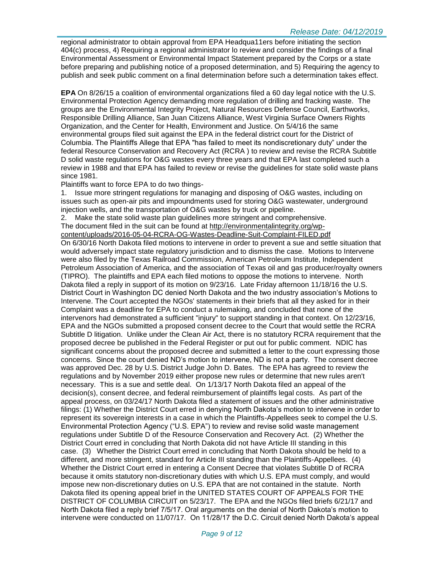regional administrator to obtain approval from EPA Headqua11ers before initiating the section 404(c) process, 4) Requiring a regional administrator lo review and consider the findings of a final Environmental Assessment or Environmental Impact Statement prepared by the Corps or a state before preparing and publishing notice of a proposed determination, and 5) Requiring the agency to publish and seek public comment on a final determination before such a determination takes effect.

**EPA** On 8/26/15 a coalition of environmental organizations filed a 60 day legal notice with the U.S. Environmental Protection Agency demanding more regulation of drilling and fracking waste. The groups are the Environmental Integrity Project, Natural Resources Defense Council, Earthworks, Responsible Drilling Alliance, San Juan Citizens Alliance, West Virginia Surface Owners Rights Organization, and the Center for Health, Environment and Justice. On 5/4/16 the same environmental groups filed suit against the EPA in the federal district court for the District of Columbia. The Plaintiffs Allege that EPA "has failed to meet its nondiscretionary duty" under the federal Resource Conservation and Recovery Act (RCRA ) to review and revise the RCRA Subtitle D solid waste regulations for O&G wastes every three years and that EPA last completed such a review in 1988 and that EPA has failed to review or revise the guidelines for state solid waste plans since 1981.

#### Plaintiffs want to force EPA to do two things-

1. Issue more stringent regulations for managing and disposing of O&G wastes, including on issues such as open-air pits and impoundments used for storing O&G wastewater, underground injection wells, and the transportation of O&G wastes by truck or pipeline.

2. Make the state solid waste plan guidelines more stringent and comprehensive. The document filed in the suit can be found at [http://environmentalintegrity.org/wp](http://environmentalintegrity.org/wp-content/uploads/2016-05-04-RCRA-OG-Wastes-Deadline-Suit-Complaint-FILED.pdf)[content/uploads/2016-05-04-RCRA-OG-Wastes-Deadline-Suit-Complaint-FILED.pdf](http://environmentalintegrity.org/wp-content/uploads/2016-05-04-RCRA-OG-Wastes-Deadline-Suit-Complaint-FILED.pdf) On 6/30/16 North Dakota filed motions to intervene in order to prevent a sue and settle situation that would adversely impact state regulatory jurisdiction and to dismiss the case. Motions to Intervene were also filed by the Texas Railroad Commission, American Petroleum Institute, Independent Petroleum Association of America, and the association of Texas oil and gas producer/royalty owners (TIPRO). The plaintiffs and EPA each filed motions to oppose the motions to intervene. North Dakota filed a reply in support of its motion on 9/23/16. Late Friday afternoon 11/18/16 the U.S. District Court in Washington DC denied North Dakota and the two industry association's Motions to Intervene. The Court accepted the NGOs' statements in their briefs that all they asked for in their Complaint was a deadline for EPA to conduct a rulemaking, and concluded that none of the intervenors had demonstrated a sufficient "injury" to support standing in that context. On 12/23/16, EPA and the NGOs submitted a proposed consent decree to the Court that would settle the RCRA Subtitle D litigation. Unlike under the Clean Air Act, there is no statutory RCRA requirement that the proposed decree be published in the Federal Register or put out for public comment. NDIC has significant concerns about the proposed decree and submitted a letter to the court expressing those concerns. Since the court denied ND's motion to intervene, ND is not a party. The consent decree was approved Dec. 28 by U.S. District Judge John D. Bates. The EPA has agreed to review the regulations and by November 2019 either propose new rules or determine that new rules aren't necessary. This is a sue and settle deal. On 1/13/17 North Dakota filed an appeal of the decision(s), consent decree, and federal reimbursement of plaintiffs legal costs. As part of the appeal process, on 03/24/17 North Dakota filed a statement of issues and the other administrative filings: (1) Whether the District Court erred in denying North Dakota's motion to intervene in order to represent its sovereign interests in a case in which the Plaintiffs-Appellees seek to compel the U.S. Environmental Protection Agency ("U.S. EPA") to review and revise solid waste management regulations under Subtitle D of the Resource Conservation and Recovery Act. (2) Whether the District Court erred in concluding that North Dakota did not have Article III standing in this case. (3) Whether the District Court erred in concluding that North Dakota should be held to a different, and more stringent, standard for Article III standing than the Plaintiffs-Appellees. (4) Whether the District Court erred in entering a Consent Decree that violates Subtitle D of RCRA because it omits statutory non-discretionary duties with which U.S. EPA must comply, and would impose new non-discretionary duties on U.S. EPA that are not contained in the statute. North Dakota filed its opening appeal brief in the UNITED STATES COURT OF APPEALS FOR THE DISTRICT OF COLUMBIA CIRCUIT on 5/23/17. The EPA and the NGOs filed briefs 6/21/17 and North Dakota filed a reply brief 7/5/17. Oral arguments on the denial of North Dakota's motion to intervene were conducted on 11/07/17. On 11/28/17 the D.C. Circuit denied North Dakota's appeal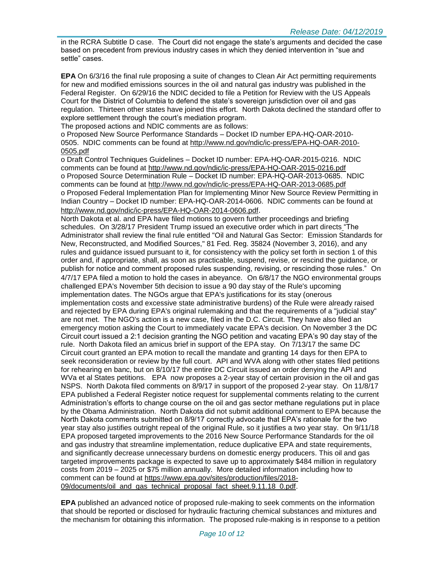in the RCRA Subtitle D case. The Court did not engage the state's arguments and decided the case based on precedent from previous industry cases in which they denied intervention in "sue and settle" cases.

**EPA** On 6/3/16 the final rule proposing a suite of changes to Clean Air Act permitting requirements for new and modified emissions sources in the oil and natural gas industry was published in the Federal Register. On 6/29/16 the NDIC decided to file a Petition for Review with the US Appeals Court for the District of Columbia to defend the state's sovereign jurisdiction over oil and gas regulation. Thirteen other states have joined this effort. North Dakota declined the standard offer to explore settlement through the court's mediation program.

The proposed actions and NDIC comments are as follows:

o Proposed New Source Performance Standards – Docket ID number EPA-HQ-OAR-2010- 0505. NDIC comments can be found at [http://www.nd.gov/ndic/ic-press/EPA-HQ-OAR-2010-](http://www.nd.gov/ndic/ic-press/EPA-HQ-OAR-2010-0505.pdf) [0505.pdf](http://www.nd.gov/ndic/ic-press/EPA-HQ-OAR-2010-0505.pdf)

o Draft Control Techniques Guidelines – Docket ID number: EPA-HQ-OAR-2015-0216. NDIC comments can be found at<http://www.nd.gov/ndic/ic-press/EPA-HQ-OAR-2015-0216.pdf> o Proposed Source Determination Rule – Docket ID number: EPA-HQ-OAR-2013-0685. NDIC comments can be found at<http://www.nd.gov/ndic/ic-press/EPA-HQ-OAR-2013-0685.pdf> o Proposed Federal Implementation Plan for Implementing Minor New Source Review Permitting in Indian Country – Docket ID number: EPA-HQ-OAR-2014-0606. NDIC comments can be found at <http://www.nd.gov/ndic/ic-press/EPA-HQ-OAR-2014-0606.pdf>.

North Dakota et al. and EPA have filed motions to govern further proceedings and briefing schedules. On 3/28/17 President Trump issued an executive order which in part directs "The Administrator shall review the final rule entitled "Oil and Natural Gas Sector: Emission Standards for New, Reconstructed, and Modified Sources," 81 Fed. Reg. 35824 (November 3, 2016), and any rules and guidance issued pursuant to it, for consistency with the policy set forth in section 1 of this order and, if appropriate, shall, as soon as practicable, suspend, revise, or rescind the guidance, or publish for notice and comment proposed rules suspending, revising, or rescinding those rules." On 4/7/17 EPA filed a motion to hold the cases in abeyance. On 6/8/17 the NGO environmental groups challenged EPA's November 5th decision to issue a 90 day stay of the Rule's upcoming implementation dates. The NGOs argue that EPA's justifications for its stay (onerous implementation costs and excessive state administrative burdens) of the Rule were already raised and rejected by EPA during EPA's original rulemaking and that the requirements of a "judicial stay" are not met. The NGO's action is a new case, filed in the D.C. Circuit. They have also filed an emergency motion asking the Court to immediately vacate EPA's decision. On November 3 the DC Circuit court issued a 2:1 decision granting the NGO petition and vacating EPA's 90 day stay of the rule. North Dakota filed an amicus brief in support of the EPA stay. On 7/13/17 the same DC Circuit court granted an EPA motion to recall the mandate and granting 14 days for then EPA to seek reconsideration or review by the full court. API and WVA along with other states filed petitions for rehearing en banc, but on 8/10/17 the entire DC Circuit issued an order denying the API and WVa et al States petitions. EPA now proposes a 2-year stay of certain provision in the oil and gas NSPS. North Dakota filed comments on 8/9/17 in support of the proposed 2-year stay. On 11/8/17 EPA published a Federal Register notice request for supplemental comments relating to the current Administration's efforts to change course on the oil and gas sector methane regulations put in place by the Obama Administration. North Dakota did not submit additional comment to EPA because the North Dakota comments submitted on 8/9/17 correctly advocate that EPA's rationale for the two year stay also justifies outright repeal of the original Rule, so it justifies a two year stay. On 9/11/18 EPA proposed targeted improvements to the 2016 New Source Performance Standards for the oil and gas industry that streamline implementation, reduce duplicative EPA and state requirements, and significantly decrease unnecessary burdens on domestic energy producers. This oil and gas targeted improvements package is expected to save up to approximately \$484 million in regulatory costs from 2019 – 2025 or \$75 million annually. More detailed information including how to comment can be found at [https://www.epa.gov/sites/production/files/2018-](https://www.epa.gov/sites/production/files/2018-09/documents/oil_and_gas_technical_proposal_fact_sheet.9.11.18_0.pdf) [09/documents/oil\\_and\\_gas\\_technical\\_proposal\\_fact\\_sheet.9.11.18\\_0.pdf.](https://www.epa.gov/sites/production/files/2018-09/documents/oil_and_gas_technical_proposal_fact_sheet.9.11.18_0.pdf)

**EPA** published an advanced notice of proposed rule-making to seek comments on the information that should be reported or disclosed for hydraulic fracturing chemical substances and mixtures and the mechanism for obtaining this information. The proposed rule-making is in response to a petition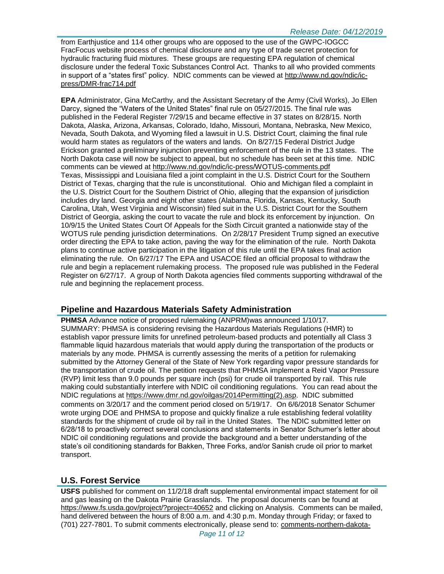from Earthjustice and 114 other groups who are opposed to the use of the GWPC-IOGCC FracFocus website process of chemical disclosure and any type of trade secret protection for hydraulic fracturing fluid mixtures. These groups are requesting EPA regulation of chemical disclosure under the federal Toxic Substances Control Act. Thanks to all who provided comments in support of a "states first" policy. NDIC comments can be viewed at [http://www.nd.gov/ndic/ic](http://www.nd.gov/ndic/ic-press/DMR-frac714.pdf)[press/DMR-frac714.pdf](http://www.nd.gov/ndic/ic-press/DMR-frac714.pdf)

**EPA** Administrator, Gina McCarthy, and the Assistant Secretary of the Army (Civil Works), Jo Ellen Darcy, signed the "Waters of the United States" final rule on 05/27/2015. The final rule was published in the Federal Register 7/29/15 and became effective in 37 states on 8/28/15. North Dakota, Alaska, Arizona, Arkansas, Colorado, Idaho, Missouri, Montana, Nebraska, New Mexico, Nevada, South Dakota, and Wyoming filed a lawsuit in U.S. District Court, claiming the final rule would harm states as regulators of the waters and lands. On 8/27/15 Federal District Judge Erickson granted a preliminary injunction preventing enforcement of the rule in the 13 states. The North Dakota case will now be subject to appeal, but no schedule has been set at this time. NDIC comments can be viewed at<http://www.nd.gov/ndic/ic-press/WOTUS-comments.pdf> Texas, Mississippi and Louisiana filed a joint complaint in the U.S. District Court for the Southern District of Texas, charging that the rule is unconstitutional. Ohio and Michigan filed a complaint in the U.S. District Court for the Southern District of Ohio, alleging that the expansion of jurisdiction includes dry land. Georgia and eight other states (Alabama, Florida, Kansas, Kentucky, South Carolina, Utah, West Virginia and Wisconsin) filed suit in the U.S. District Court for the Southern District of Georgia, asking the court to vacate the rule and block its enforcement by injunction. On 10/9/15 the United States Court Of Appeals for the Sixth Circuit granted a nationwide stay of the WOTUS rule pending jurisdiction determinations. On 2/28/17 President Trump signed an executive order directing the EPA to take action, paving the way for the elimination of the rule. North Dakota plans to continue active participation in the litigation of this rule until the EPA takes final action eliminating the rule. On 6/27/17 The EPA and USACOE filed an official proposal to withdraw the rule and begin a replacement rulemaking process. The proposed rule was published in the Federal Register on 6/27/17. A group of North Dakota agencies filed comments supporting withdrawal of the rule and beginning the replacement process.

# **Pipeline and Hazardous Materials Safety Administration**

**PHMSA** Advance notice of proposed rulemaking (ANPRM)was announced 1/10/17. SUMMARY: PHMSA is considering revising the Hazardous Materials Regulations (HMR) to establish vapor pressure limits for unrefined petroleum-based products and potentially all Class 3 flammable liquid hazardous materials that would apply during the transportation of the products or materials by any mode. PHMSA is currently assessing the merits of a petition for rulemaking submitted by the Attorney General of the State of New York regarding vapor pressure standards for the transportation of crude oil. The petition requests that PHMSA implement a Reid Vapor Pressure (RVP) limit less than 9.0 pounds per square inch (psi) for crude oil transported by rail. This rule making could substantially interfere with NDIC oil conditioning regulations. You can read about the NDIC regulations at [https://www.dmr.nd.gov/oilgas/2014Permitting\(2\).asp.](https://www.dmr.nd.gov/oilgas/2014Permitting(2).asp) NDIC submitted comments on 3/20/17 and the comment period closed on 5/19/17. On 6/6/2018 Senator Schumer wrote urging DOE and PHMSA to propose and quickly finalize a rule establishing federal volatility standards for the shipment of crude oil by rail in the United States. The NDIC submitted letter on 6/28/18 to proactively correct several conclusions and statements in Senator Schumer's letter about NDIC oil conditioning regulations and provide the background and a better understanding of the state's oil conditioning standards for Bakken, Three Forks, and/or Sanish crude oil prior to market transport.

# **U.S. Forest Service**

**USFS** published for comment on 11/2/18 draft supplemental environmental impact statement for oil and gas leasing on the Dakota Prairie Grasslands. The proposal documents can be found at <https://www.fs.usda.gov/project/?project=40652> and clicking on Analysis. Comments can be mailed, hand delivered between the hours of 8:00 a.m. and 4:30 p.m. Monday through Friday; or faxed to (701) 227-7801. To submit comments electronically, please send to: [comments-northern-dakota-](mailto:comments-northern-dakota-prairie@fs.fed.us)